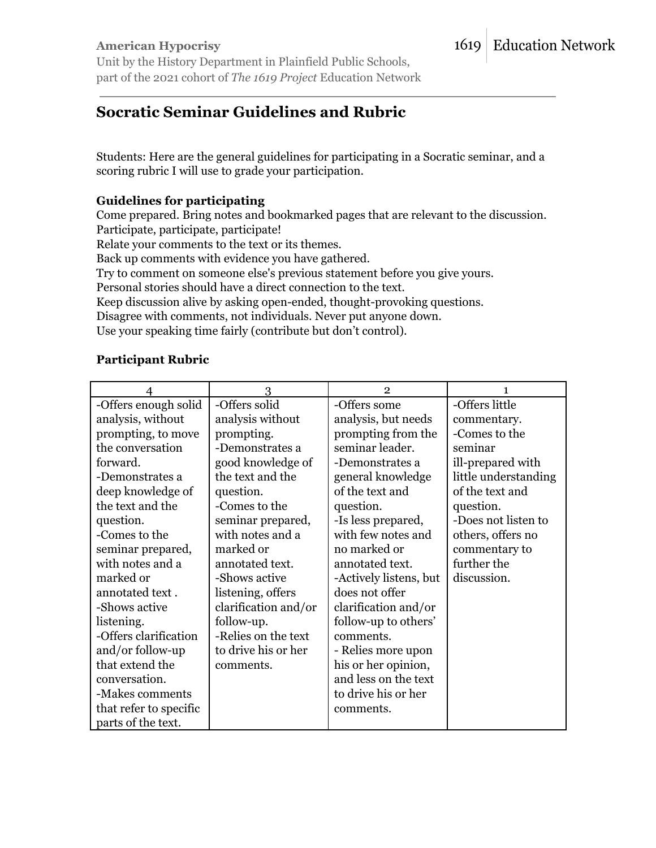#### **American Hypocrisy** Unit by the History Department in Plainfield Public Schools, part of the 2021 cohort of *The 1619 Project* Education Network

# **Socratic Seminar Guidelines and Rubric**

Students: Here are the general guidelines for participating in a Socratic seminar, and a scoring rubric I will use to grade your participation.

### **Guidelines for participating**

Come prepared. Bring notes and bookmarked pages that are relevant to the discussion. Participate, participate, participate!

Relate your comments to the text or its themes.

Back up comments with evidence you have gathered.

Try to comment on someone else's previous statement before you give yours.

Personal stories should have a direct connection to the text.

Keep discussion alive by asking open-ended, thought-provoking questions.

Disagree with comments, not individuals. Never put anyone down.

Use your speaking time fairly (contribute but don't control).

#### **Participant Rubric**

|                        | 3                    | $\mathbf{2}$           | 1                    |
|------------------------|----------------------|------------------------|----------------------|
| -Offers enough solid   | -Offers solid        | -Offers some           | -Offers little       |
| analysis, without      | analysis without     | analysis, but needs    | commentary.          |
| prompting, to move     | prompting.           | prompting from the     | -Comes to the        |
| the conversation       | -Demonstrates a      | seminar leader.        | seminar              |
| forward.               | good knowledge of    | -Demonstrates a        | ill-prepared with    |
| -Demonstrates a        | the text and the     | general knowledge      | little understanding |
| deep knowledge of      | question.            | of the text and        | of the text and      |
| the text and the       | -Comes to the        | question.              | question.            |
| question.              | seminar prepared,    | -Is less prepared,     | -Does not listen to  |
| -Comes to the          | with notes and a     | with few notes and     | others, offers no    |
| seminar prepared,      | marked or            | no marked or           | commentary to        |
| with notes and a       | annotated text.      | annotated text.        | further the          |
| marked or              | -Shows active        | -Actively listens, but | discussion.          |
| annotated text.        | listening, offers    | does not offer         |                      |
| -Shows active          | clarification and/or | clarification and/or   |                      |
| listening.             | follow-up.           | follow-up to others'   |                      |
| -Offers clarification  | -Relies on the text  | comments.              |                      |
| and/or follow-up       | to drive his or her  | - Relies more upon     |                      |
| that extend the        | comments.            | his or her opinion,    |                      |
| conversation.          |                      | and less on the text   |                      |
| -Makes comments        |                      | to drive his or her    |                      |
| that refer to specific |                      | comments.              |                      |
| parts of the text.     |                      |                        |                      |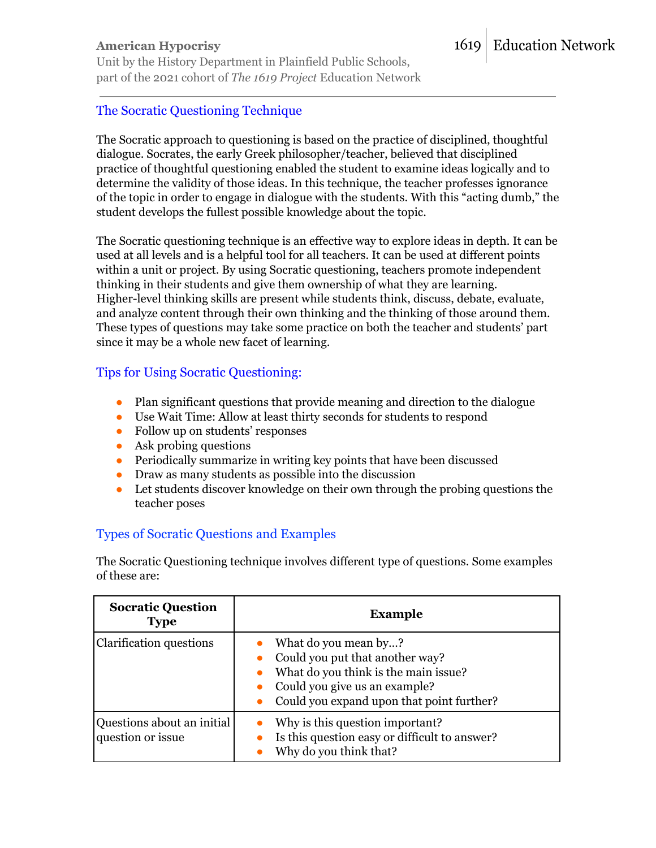### **American Hypocrisy**

Unit by the History Department in Plainfield Public Schools, part of the 2021 cohort of *The 1619 Project* Education Network

# The Socratic Questioning Technique

The Socratic approach to questioning is based on the practice of disciplined, thoughtful dialogue. Socrates, the early Greek philosopher/teacher, believed that disciplined practice of thoughtful questioning enabled the student to examine ideas logically and to determine the validity of those ideas. In this technique, the teacher professes ignorance of the topic in order to engage in dialogue with the students. With this "acting dumb," the student develops the fullest possible knowledge about the topic.

The Socratic questioning technique is an effective way to explore ideas in depth. It can be used at all levels and is a helpful tool for all teachers. It can be used at different points within a unit or project. By using Socratic questioning, teachers promote independent thinking in their students and give them ownership of what they are learning. Higher-level thinking skills are present while students think, discuss, debate, evaluate, and analyze content through their own thinking and the thinking of those around them. These types of questions may take some practice on both the teacher and students' part since it may be a whole new facet of learning.

#### Tips for Using Socratic Questioning:

- Plan significant questions that provide meaning and direction to the dialogue
- Use Wait Time: Allow at least thirty seconds for students to respond
- Follow up on students' responses
- $\bullet$  Ask probing questions
- Periodically summarize in writing key points that have been discussed
- Draw as many students as possible into the discussion
- Let students discover knowledge on their own through the probing questions the teacher poses

# Types of Socratic Questions and Examples

The Socratic Questioning technique involves different type of questions. Some examples of these are:

| <b>Socratic Question</b><br><b>Type</b>         | <b>Example</b>                                                                                                                                                                |
|-------------------------------------------------|-------------------------------------------------------------------------------------------------------------------------------------------------------------------------------|
| Clarification questions                         | What do you mean by?<br>Could you put that another way?<br>What do you think is the main issue?<br>Could you give us an example?<br>Could you expand upon that point further? |
| Questions about an initial<br>question or issue | Why is this question important?<br>Is this question easy or difficult to answer?<br>Why do you think that?                                                                    |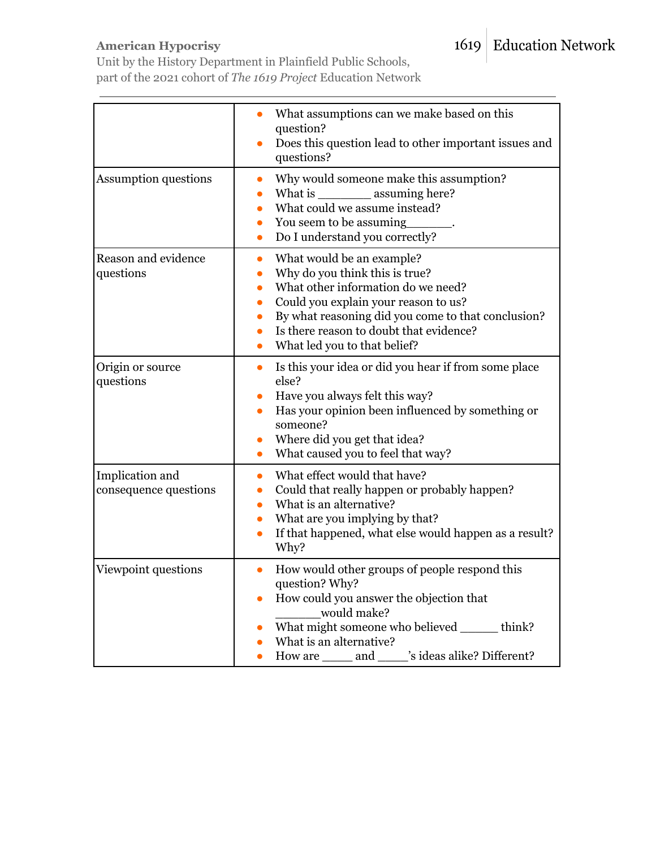# **American Hypocrisy**

Unit by the History Department in Plainfield Public Schools, part of the 2021 cohort of *The 1619 Project* Education Network

|                                          | What assumptions can we make based on this<br>question?<br>Does this question lead to other important issues and<br>$\bullet$<br>questions?                                                                                                                                            |
|------------------------------------------|----------------------------------------------------------------------------------------------------------------------------------------------------------------------------------------------------------------------------------------------------------------------------------------|
| <b>Assumption questions</b>              | Why would someone make this assumption?<br>What is _____________ assuming here?<br>What could we assume instead?<br>You seem to be assuming<br>Do I understand you correctly?                                                                                                          |
| Reason and evidence<br>questions         | What would be an example?<br>Why do you think this is true?<br>What other information do we need?<br>Could you explain your reason to us?<br>By what reasoning did you come to that conclusion?<br>Is there reason to doubt that evidence?<br>What led you to that belief?             |
| Origin or source<br>questions            | Is this your idea or did you hear if from some place<br>$\bullet$<br>else?<br>Have you always felt this way?<br>Has your opinion been influenced by something or<br>someone?<br>Where did you get that idea?<br>What caused you to feel that way?                                      |
| Implication and<br>consequence questions | What effect would that have?<br>Could that really happen or probably happen?<br>What is an alternative?<br>What are you implying by that?<br>If that happened, what else would happen as a result?<br>Why?                                                                             |
| Viewpoint questions                      | How would other groups of people respond this<br>$\bullet$<br>question? Why?<br>How could you answer the objection that<br>$\bullet$<br>would make?<br>What might someone who believed ______ think?<br>What is an alternative?<br>How are ______ and ______'s ideas alike? Different? |